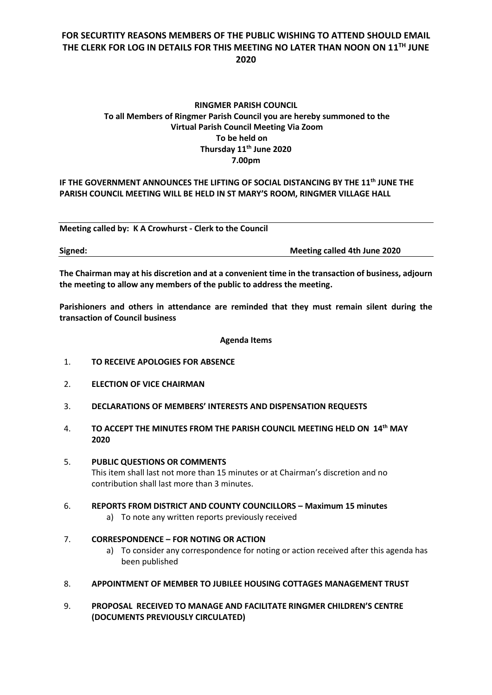## **FOR SECURTITY REASONS MEMBERS OF THE PUBLIC WISHING TO ATTEND SHOULD EMAIL THE CLERK FOR LOG IN DETAILS FOR THIS MEETING NO LATER THAN NOON ON 11 TH JUNE 2020**

## **RINGMER PARISH COUNCIL To all Members of Ringmer Parish Council you are hereby summoned to the Virtual Parish Council Meeting Via Zoom To be held on Thursday 11 th June 2020 7.00pm**

### **IF THE GOVERNMENT ANNOUNCES THE LIFTING OF SOCIAL DISTANCING BY THE 11 th JUNE THE PARISH COUNCIL MEETING WILL BE HELD IN ST MARY'S ROOM, RINGMER VILLAGE HALL**

**Meeting called by: K A Crowhurst - Clerk to the Council** 

**Signed: Meeting called 4th June 2020**

**The Chairman may at his discretion and at a convenient time in the transaction of business, adjourn the meeting to allow any members of the public to address the meeting.**

**Parishioners and others in attendance are reminded that they must remain silent during the transaction of Council business**

#### **Agenda Items**

- 1. **TO RECEIVE APOLOGIES FOR ABSENCE**
- 2. **ELECTION OF VICE CHAIRMAN**
- 3. **DECLARATIONS OF MEMBERS' INTERESTS AND DISPENSATION REQUESTS**
- 4. **TO ACCEPT THE MINUTES FROM THE PARISH COUNCIL MEETING HELD ON 14 th MAY 2020**
- 5. **PUBLIC QUESTIONS OR COMMENTS**  This item shall last not more than 15 minutes or at Chairman's discretion and no contribution shall last more than 3 minutes.
- 6. **REPORTS FROM DISTRICT AND COUNTY COUNCILLORS – Maximum 15 minutes**
	- a) To note any written reports previously received

### 7. **CORRESPONDENCE – FOR NOTING OR ACTION**

- a) To consider any correspondence for noting or action received after this agenda has been published
- 8. **APPOINTMENT OF MEMBER TO JUBILEE HOUSING COTTAGES MANAGEMENT TRUST**
- 9. **PROPOSAL RECEIVED TO MANAGE AND FACILITATE RINGMER CHILDREN'S CENTRE (DOCUMENTS PREVIOUSLY CIRCULATED)**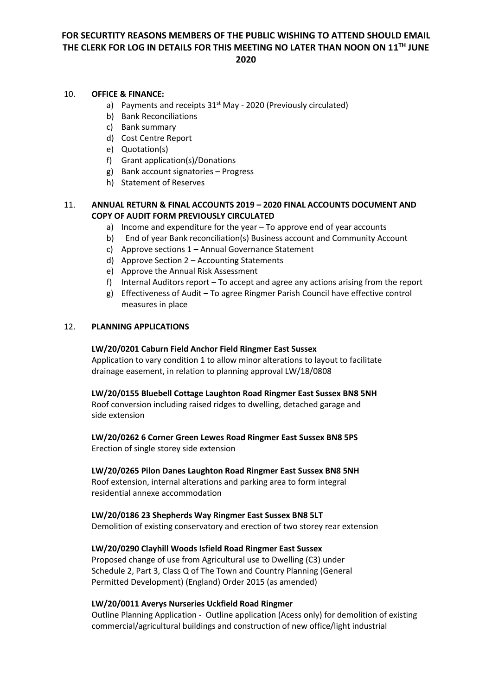# **FOR SECURTITY REASONS MEMBERS OF THE PUBLIC WISHING TO ATTEND SHOULD EMAIL THE CLERK FOR LOG IN DETAILS FOR THIS MEETING NO LATER THAN NOON ON 11 TH JUNE 2020**

#### 10. **OFFICE & FINANCE:**

- a) Payments and receipts  $31<sup>st</sup>$  May 2020 (Previously circulated)
- b) Bank Reconciliations
- c) Bank summary
- d) Cost Centre Report
- e) Quotation(s)
- f) Grant application(s)/Donations
- g) Bank account signatories Progress
- h) Statement of Reserves

### 11. **ANNUAL RETURN & FINAL ACCOUNTS 2019 – 2020 FINAL ACCOUNTS DOCUMENT AND COPY OF AUDIT FORM PREVIOUSLY CIRCULATED**

- a) Income and expenditure for the year To approve end of year accounts
- b) End of year Bank reconciliation(s) Business account and Community Account
- c) Approve sections 1 Annual Governance Statement
- d) Approve Section 2 Accounting Statements
- e) Approve the Annual Risk Assessment
- f) Internal Auditors report To accept and agree any actions arising from the report
- g) Effectiveness of Audit To agree Ringmer Parish Council have effective control measures in place

### 12. **PLANNING APPLICATIONS**

#### **LW/20/0201 Caburn Field Anchor Field Ringmer East Sussex**

Application to vary condition 1 to allow minor alterations to layout to facilitate drainage easement, in relation to planning approval LW/18/0808

#### **LW/20/0155 Bluebell Cottage Laughton Road Ringmer East Sussex BN8 5NH**

Roof conversion including raised ridges to dwelling, detached garage and side extension

**LW/20/0262 6 Corner Green Lewes Road Ringmer East Sussex BN8 5PS**

Erection of single storey side extension

#### **LW/20/0265 Pilon Danes Laughton Road Ringmer East Sussex BN8 5NH**

Roof extension, internal alterations and parking area to form integral residential annexe accommodation

#### **LW/20/0186 23 Shepherds Way Ringmer East Sussex BN8 5LT**

Demolition of existing conservatory and erection of two storey rear extension

### **LW/20/0290 Clayhill Woods Isfield Road Ringmer East Sussex**

Proposed change of use from Agricultural use to Dwelling (C3) under Schedule 2, Part 3, Class Q of The Town and Country Planning (General Permitted Development) (England) Order 2015 (as amended)

#### **LW/20/0011 Averys Nurseries Uckfield Road Ringmer**

Outline Planning Application - Outline application (Acess only) for demolition of existing commercial/agricultural buildings and construction of new office/light industrial